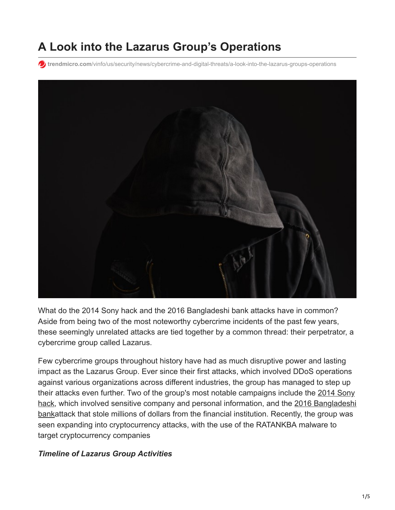# **A Look into the Lazarus Group's Operations**

**to** trendmicro.com[/vinfo/us/security/news/cybercrime-and-digital-threats/a-look-into-the-lazarus-groups-operations](https://www.trendmicro.com/vinfo/us/security/news/cybercrime-and-digital-threats/a-look-into-the-lazarus-groups-operations)



What do the 2014 Sony hack and the 2016 Bangladeshi bank attacks have in common? Aside from being two of the most noteworthy cybercrime incidents of the past few years, these seemingly unrelated attacks are tied together by a common thread: their perpetrator, a cybercrime group called Lazarus.

Few cybercrime groups throughout history have had as much disruptive power and lasting impact as the Lazarus Group. Ever since their first attacks, which involved DDoS operations against various organizations across different industries, the group has managed to step up [their attacks even further. Two of the group's most notable campaigns include the 2014 Sony](https://www.trendmicro.com/vinfo/us/security/news/cyber-attacks/the-hack-of-sony-pictures-what-you-need-to-know) [hack, which involved sensitive company and personal information, and the 2016 Bangladeshi](http://blog.trendmicro.com/trendlabs-security-intelligence/what-we-can-learn-from-the-bangladesh-central-bank-cyber-heist/) bankattack that stole millions of dollars from the financial institution. Recently, the group was seen expanding into cryptocurrency attacks, with the use of the RATANKBA malware to target cryptocurrency companies

#### *Timeline of Lazarus Group Activities*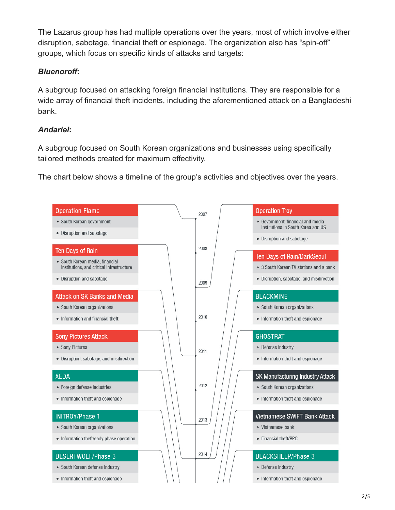The Lazarus group has had multiple operations over the years, most of which involve either disruption, sabotage, financial theft or espionage. The organization also has "spin-off" groups, which focus on specific kinds of attacks and targets:

### *Bluenoroff***:**

A subgroup focused on attacking foreign financial institutions. They are responsible for a wide array of financial theft incidents, including the aforementioned attack on a Bangladeshi bank.

## *Andariel***:**

A subgroup focused on South Korean organizations and businesses using specifically tailored methods created for maximum effectivity.

The chart below shows a timeline of the group's activities and objectives over the years.

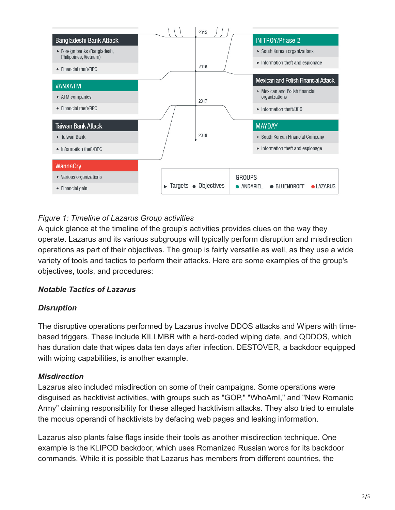

# *Figure 1: Timeline of Lazarus Group activities*

A quick glance at the timeline of the group's activities provides clues on the way they operate. Lazarus and its various subgroups will typically perform disruption and misdirection operations as part of their objectives. The group is fairly versatile as well, as they use a wide variety of tools and tactics to perform their attacks. Here are some examples of the group's objectives, tools, and procedures:

#### *Notable Tactics of Lazarus*

#### *Disruption*

The disruptive operations performed by Lazarus involve DDOS attacks and Wipers with timebased triggers. These include KILLMBR with a hard-coded wiping date, and QDDOS, which has duration date that wipes data ten days after infection. DESTOVER, a backdoor equipped with wiping capabilities, is another example.

#### *Misdirection*

Lazarus also included misdirection on some of their campaigns. Some operations were disguised as hacktivist activities, with groups such as "GOP," "WhoAmI," and "New Romanic Army" claiming responsibility for these alleged hacktivism attacks. They also tried to emulate the modus operandi of hacktivists by defacing web pages and leaking information.

Lazarus also plants false flags inside their tools as another misdirection technique. One example is the KLIPOD backdoor, which uses Romanized Russian words for its backdoor commands. While it is possible that Lazarus has members from different countries, the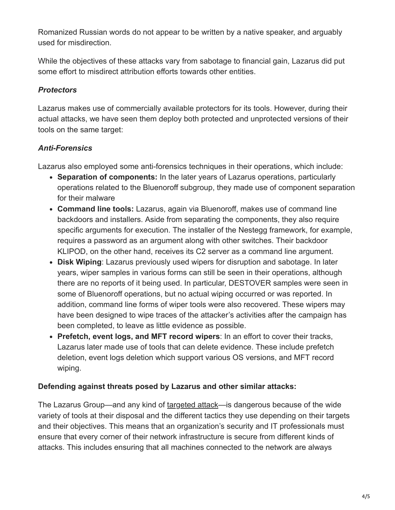Romanized Russian words do not appear to be written by a native speaker, and arguably used for misdirection.

While the objectives of these attacks vary from sabotage to financial gain, Lazarus did put some effort to misdirect attribution efforts towards other entities.

## *Protectors*

Lazarus makes use of commercially available protectors for its tools. However, during their actual attacks, we have seen them deploy both protected and unprotected versions of their tools on the same target:

# *Anti-Forensics*

Lazarus also employed some anti-forensics techniques in their operations, which include:

- **Separation of components:** In the later years of Lazarus operations, particularly operations related to the Bluenoroff subgroup, they made use of component separation for their malware
- **Command line tools:** Lazarus, again via Bluenoroff, makes use of command line backdoors and installers. Aside from separating the components, they also require specific arguments for execution. The installer of the Nestegg framework, for example, requires a password as an argument along with other switches. Their backdoor KLIPOD, on the other hand, receives its C2 server as a command line argument.
- **Disk Wiping**: Lazarus previously used wipers for disruption and sabotage. In later years, wiper samples in various forms can still be seen in their operations, although there are no reports of it being used. In particular, DESTOVER samples were seen in some of Bluenoroff operations, but no actual wiping occurred or was reported. In addition, command line forms of wiper tools were also recovered. These wipers may have been designed to wipe traces of the attacker's activities after the campaign has been completed, to leave as little evidence as possible.
- **Prefetch, event logs, and MFT record wipers**: In an effort to cover their tracks, Lazarus later made use of tools that can delete evidence. These include prefetch deletion, event logs deletion which support various OS versions, and MFT record wiping.

## **Defending against threats posed by Lazarus and other similar attacks:**

The Lazarus Group—and any kind of [targeted attack](https://www.trendmicro.com/vinfo/us/security/news/cyber-attacks/understanding-targeted-attacks-goals-and-motives)—is dangerous because of the wide variety of tools at their disposal and the different tactics they use depending on their targets and their objectives. This means that an organization's security and IT professionals must ensure that every corner of their network infrastructure is secure from different kinds of attacks. This includes ensuring that all machines connected to the network are always